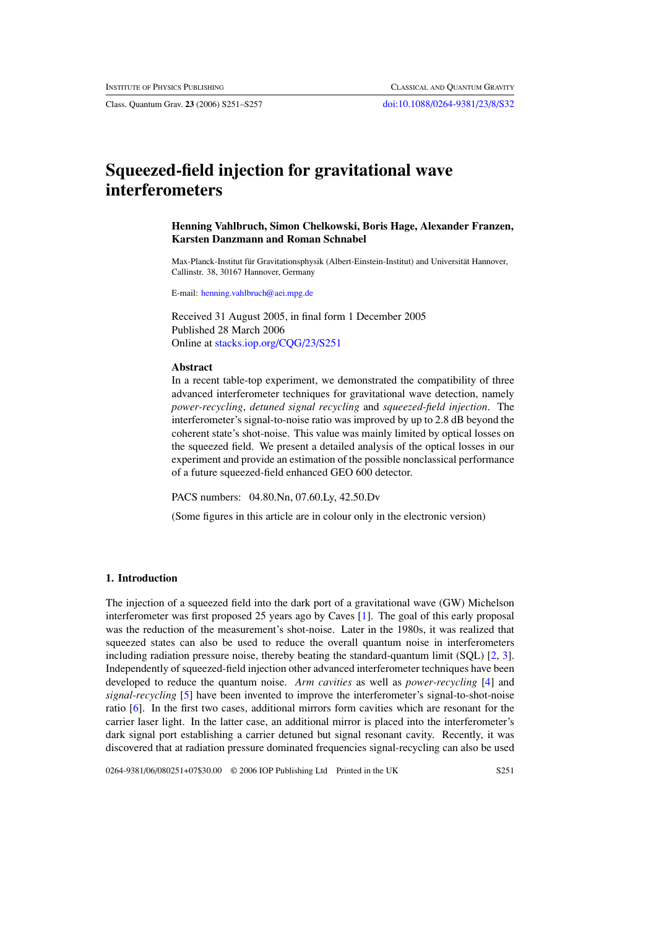Class. Quantum Grav. **23** (2006) S251–S257 [doi:10.1088/0264-9381/23/8/S32](http://dx.doi.org/10.1088/0264-9381/23/8/S32)

# **Squeezed-field injection for gravitational wave interferometers**

## **Henning Vahlbruch, Simon Chelkowski, Boris Hage, Alexander Franzen, Karsten Danzmann and Roman Schnabel**

Max-Planck-Institut für Gravitationsphysik (Albert-Einstein-Institut) and Universität Hannover, Callinstr. 38, 30167 Hannover, Germany

E-mail: [henning.vahlbruch@aei.mpg.de](mailto:henning.vahlbruch@aei.mpg.de)

Received 31 August 2005, in final form 1 December 2005 Published 28 March 2006 Online at [stacks.iop.org/CQG/23/S251](http://stacks.iop.org/CQG/23/S251)

#### **Abstract**

In a recent table-top experiment, we demonstrated the compatibility of three advanced interferometer techniques for gravitational wave detection, namely *power-recycling*, *detuned signal recycling* and *squeezed-field injection*. The interferometer's signal-to-noise ratio was improved by up to 2.8 dB beyond the coherent state's shot-noise. This value was mainly limited by optical losses on the squeezed field. We present a detailed analysis of the optical losses in our experiment and provide an estimation of the possible nonclassical performance of a future squeezed-field enhanced GEO 600 detector.

PACS numbers: 04.80.Nn, 07.60.Ly, 42.50.Dv

(Some figures in this article are in colour only in the electronic version)

### **1. Introduction**

The injection of a squeezed field into the dark port of a gravitational wave (GW) Michelson interferometer was first proposed 25 years ago by Caves [\[1\]](#page-5-0). The goal of this early proposal was the reduction of the measurement's shot-noise. Later in the 1980s, it was realized that squeezed states can also be used to reduce the overall quantum noise in interferometers including radiation pressure noise, thereby beating the standard-quantum limit (SQL) [\[2](#page-5-0), [3\]](#page-5-0). Independently of squeezed-field injection other advanced interferometer techniques have been developed to reduce the quantum noise. *Arm cavities* as well as *power-recycling* [\[4](#page-5-0)] and *signal-recycling* [\[5\]](#page-5-0) have been invented to improve the interferometer's signal-to-shot-noise ratio [\[6\]](#page-5-0). In the first two cases, additional mirrors form cavities which are resonant for the carrier laser light. In the latter case, an additional mirror is placed into the interferometer's dark signal port establishing a carrier detuned but signal resonant cavity. Recently, it was discovered that at radiation pressure dominated frequencies signal-recycling can also be used

0264-9381/06/080251+07\$30.00 © 2006 IOP Publishing Ltd Printed in the UK S251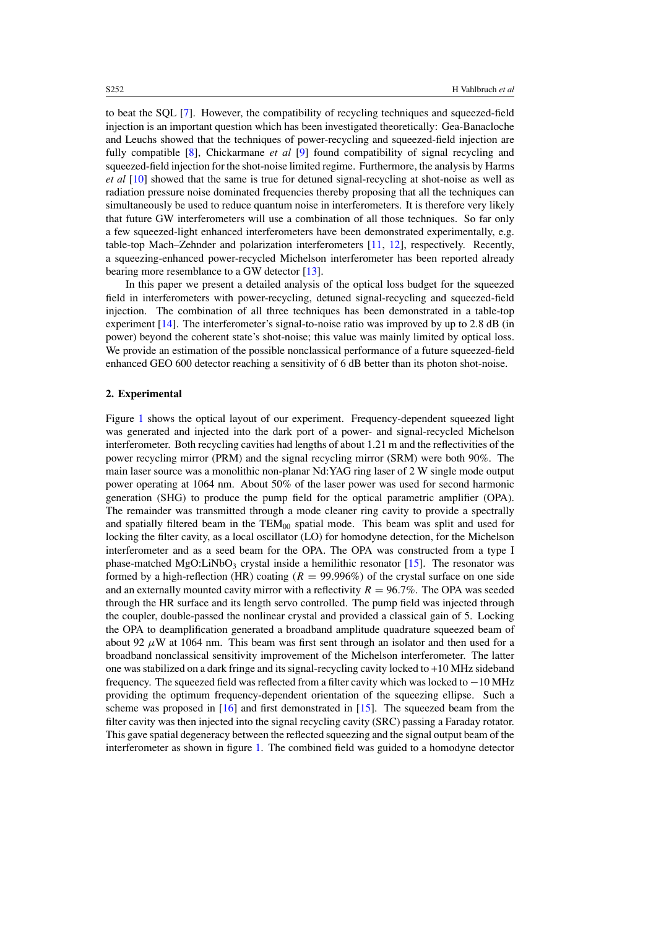to beat the SQL [\[7\]](#page-5-0). However, the compatibility of recycling techniques and squeezed-field injection is an important question which has been investigated theoretically: Gea-Banacloche and Leuchs showed that the techniques of power-recycling and squeezed-field injection are fully compatible [\[8](#page-5-0)], Chickarmane *et al* [\[9\]](#page-6-0) found compatibility of signal recycling and squeezed-field injection for the shot-noise limited regime. Furthermore, the analysis by Harms *et al* [\[10](#page-6-0)] showed that the same is true for detuned signal-recycling at shot-noise as well as radiation pressure noise dominated frequencies thereby proposing that all the techniques can simultaneously be used to reduce quantum noise in interferometers. It is therefore very likely that future GW interferometers will use a combination of all those techniques. So far only a few squeezed-light enhanced interferometers have been demonstrated experimentally, e.g. table-top Mach–Zehnder and polarization interferometers [\[11,](#page-6-0) [12\]](#page-6-0), respectively. Recently, a squeezing-enhanced power-recycled Michelson interferometer has been reported already bearing more resemblance to a GW detector [\[13\]](#page-6-0).

In this paper we present a detailed analysis of the optical loss budget for the squeezed field in interferometers with power-recycling, detuned signal-recycling and squeezed-field injection. The combination of all three techniques has been demonstrated in a table-top experiment [\[14](#page-6-0)]. The interferometer's signal-to-noise ratio was improved by up to 2*.*8 dB (in power) beyond the coherent state's shot-noise; this value was mainly limited by optical loss. We provide an estimation of the possible nonclassical performance of a future squeezed-field enhanced GEO 600 detector reaching a sensitivity of 6 dB better than its photon shot-noise.

#### **2. Experimental**

Figure [1](#page-2-0) shows the optical layout of our experiment. Frequency-dependent squeezed light was generated and injected into the dark port of a power- and signal-recycled Michelson interferometer. Both recycling cavities had lengths of about 1.21 m and the reflectivities of the power recycling mirror (PRM) and the signal recycling mirror (SRM) were both 90%. The main laser source was a monolithic non-planar Nd:YAG ring laser of 2 W single mode output power operating at 1064 nm. About 50% of the laser power was used for second harmonic generation (SHG) to produce the pump field for the optical parametric amplifier (OPA). The remainder was transmitted through a mode cleaner ring cavity to provide a spectrally and spatially filtered beam in the  $TEM_{00}$  spatial mode. This beam was split and used for locking the filter cavity, as a local oscillator (LO) for homodyne detection, for the Michelson interferometer and as a seed beam for the OPA. The OPA was constructed from a type I phase-matched  $MgO:LiNbO<sub>3</sub>$  crystal inside a hemilithic resonator [\[15](#page-6-0)]. The resonator was formed by a high-reflection (HR) coating  $(R = 99.996%)$  of the crystal surface on one side and an externally mounted cavity mirror with a reflectivity  $R = 96.7\%$ . The OPA was seeded through the HR surface and its length servo controlled. The pump field was injected through the coupler, double-passed the nonlinear crystal and provided a classical gain of 5. Locking the OPA to deamplification generated a broadband amplitude quadrature squeezed beam of about 92  $\mu$ W at 1064 nm. This beam was first sent through an isolator and then used for a broadband nonclassical sensitivity improvement of the Michelson interferometer. The latter one was stabilized on a dark fringe and its signal-recycling cavity locked to +10 MHz sideband frequency. The squeezed field was reflected from a filter cavity which was locked to −10 MHz providing the optimum frequency-dependent orientation of the squeezing ellipse. Such a scheme was proposed in  $[16]$  and first demonstrated in  $[15]$  $[15]$ . The squeezed beam from the filter cavity was then injected into the signal recycling cavity (SRC) passing a Faraday rotator. This gave spatial degeneracy between the reflected squeezing and the signal output beam of the interferometer as shown in figure [1.](#page-2-0) The combined field was guided to a homodyne detector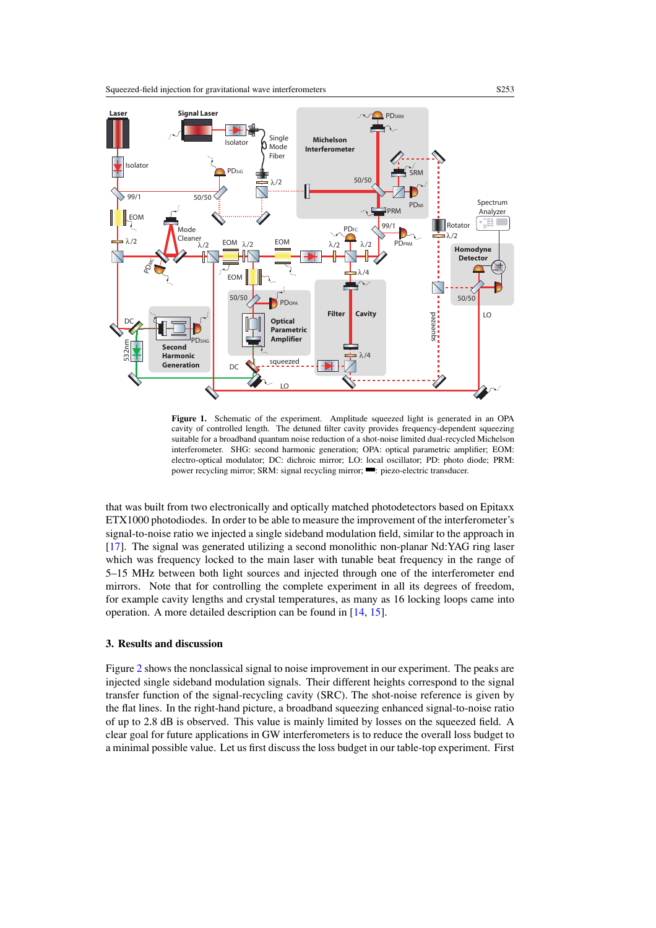<span id="page-2-0"></span>

Figure 1. Schematic of the experiment. Amplitude squeezed light is generated in an OPA cavity of controlled length. The detuned filter cavity provides frequency-dependent squeezing suitable for a broadband quantum noise reduction of a shot-noise limited dual-recycled Michelson interferometer. SHG: second harmonic generation; OPA: optical parametric amplifier; EOM: electro-optical modulator; DC: dichroic mirror; LO: local oscillator; PD: photo diode; PRM: power recycling mirror; SRM: signal recycling mirror; **:** piezo-electric transducer.

that was built from two electronically and optically matched photodetectors based on Epitaxx ETX1000 photodiodes. In order to be able to measure the improvement of the interferometer's signal-to-noise ratio we injected a single sideband modulation field, similar to the approach in [\[17](#page-6-0)]. The signal was generated utilizing a second monolithic non-planar Nd:YAG ring laser which was frequency locked to the main laser with tunable beat frequency in the range of 5–15 MHz between both light sources and injected through one of the interferometer end mirrors. Note that for controlling the complete experiment in all its degrees of freedom, for example cavity lengths and crystal temperatures, as many as 16 locking loops came into operation. A more detailed description can be found in [\[14,](#page-6-0) [15\]](#page-6-0).

# **3. Results and discussion**

Figure [2](#page-3-0) shows the nonclassical signal to noise improvement in our experiment. The peaks are injected single sideband modulation signals. Their different heights correspond to the signal transfer function of the signal-recycling cavity (SRC). The shot-noise reference is given by the flat lines. In the right-hand picture, a broadband squeezing enhanced signal-to-noise ratio of up to 2.8 dB is observed. This value is mainly limited by losses on the squeezed field. A clear goal for future applications in GW interferometers is to reduce the overall loss budget to a minimal possible value. Let us first discuss the loss budget in our table-top experiment. First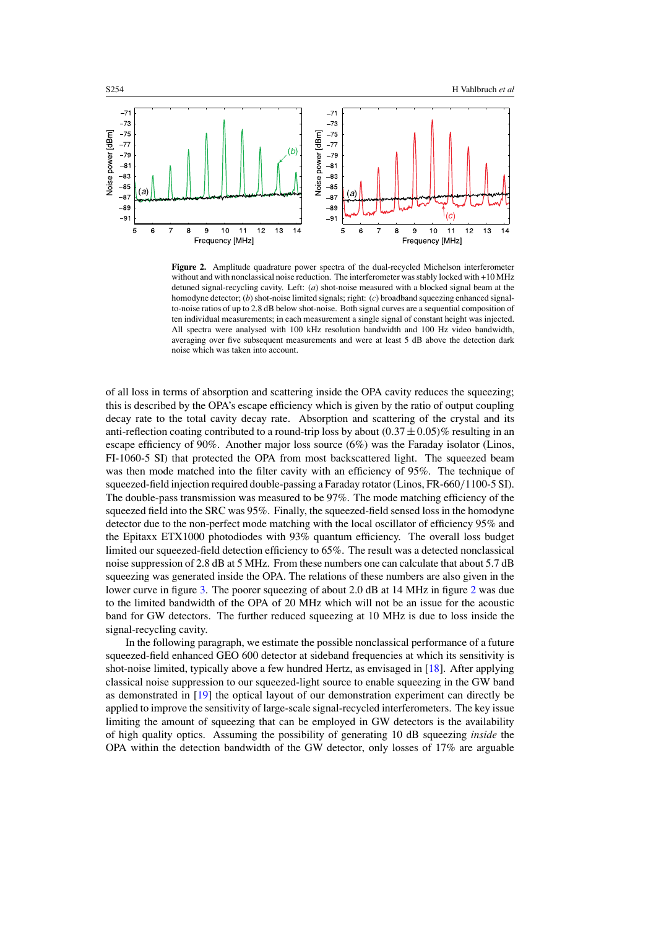<span id="page-3-0"></span>

**Figure 2.** Amplitude quadrature power spectra of the dual-recycled Michelson interferometer without and with nonclassical noise reduction. The interferometer was stably locked with +10 MHz detuned signal-recycling cavity. Left: (*a*) shot-noise measured with a blocked signal beam at the homodyne detector; (*b*) shot-noise limited signals; right: (*c*) broadband squeezing enhanced signalto-noise ratios of up to 2.8 dB below shot-noise. Both signal curves are a sequential composition of ten individual measurements; in each measurement a single signal of constant height was injected. All spectra were analysed with 100 kHz resolution bandwidth and 100 Hz video bandwidth, averaging over five subsequent measurements and were at least 5 dB above the detection dark noise which was taken into account.

of all loss in terms of absorption and scattering inside the OPA cavity reduces the squeezing; this is described by the OPA's escape efficiency which is given by the ratio of output coupling decay rate to the total cavity decay rate. Absorption and scattering of the crystal and its anti-reflection coating contributed to a round-trip loss by about  $(0.37 \pm 0.05)\%$  resulting in an escape efficiency of 90%. Another major loss source (6%) was the Faraday isolator (Linos, FI-1060-5 SI) that protected the OPA from most backscattered light. The squeezed beam was then mode matched into the filter cavity with an efficiency of 95%. The technique of squeezed-field injection required double-passing a Faraday rotator (Linos, FR-660*/*1100-5 SI). The double-pass transmission was measured to be 97%. The mode matching efficiency of the squeezed field into the SRC was 95%. Finally, the squeezed-field sensed loss in the homodyne detector due to the non-perfect mode matching with the local oscillator of efficiency 95% and the Epitaxx ETX1000 photodiodes with 93% quantum efficiency. The overall loss budget limited our squeezed-field detection efficiency to 65%. The result was a detected nonclassical noise suppression of 2.8 dB at 5 MHz. From these numbers one can calculate that about 5.7 dB squeezing was generated inside the OPA. The relations of these numbers are also given in the lower curve in figure [3.](#page-4-0) The poorer squeezing of about 2.0 dB at 14 MHz in figure 2 was due to the limited bandwidth of the OPA of 20 MHz which will not be an issue for the acoustic band for GW detectors. The further reduced squeezing at 10 MHz is due to loss inside the signal-recycling cavity.

In the following paragraph, we estimate the possible nonclassical performance of a future squeezed-field enhanced GEO 600 detector at sideband frequencies at which its sensitivity is shot-noise limited, typically above a few hundred Hertz, as envisaged in [\[18\]](#page-6-0). After applying classical noise suppression to our squeezed-light source to enable squeezing in the GW band as demonstrated in [\[19\]](#page-6-0) the optical layout of our demonstration experiment can directly be applied to improve the sensitivity of large-scale signal-recycled interferometers. The key issue limiting the amount of squeezing that can be employed in GW detectors is the availability of high quality optics. Assuming the possibility of generating 10 dB squeezing *inside* the OPA within the detection bandwidth of the GW detector, only losses of 17% are arguable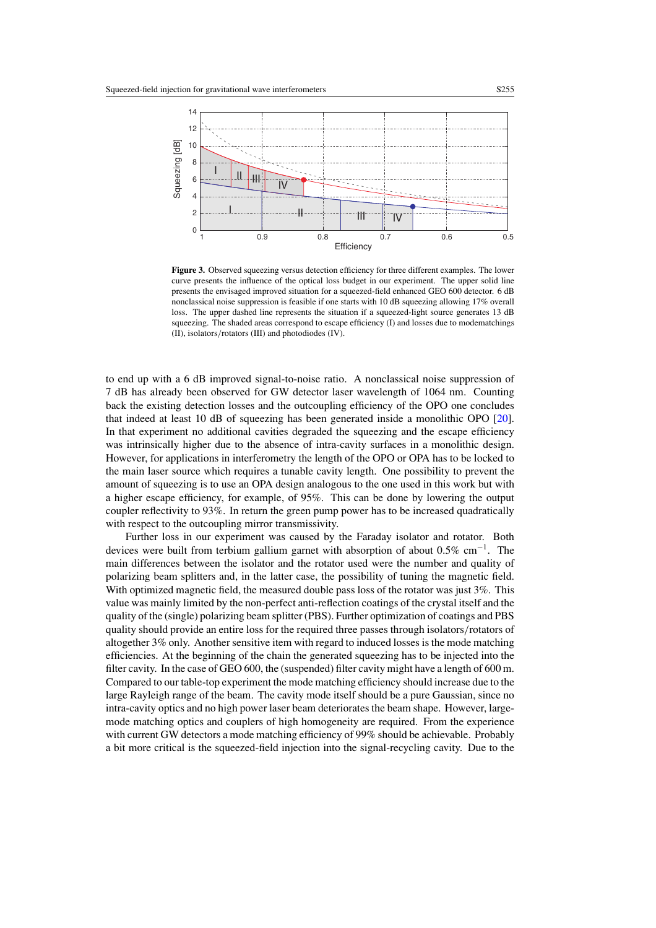<span id="page-4-0"></span>

**Figure 3.** Observed squeezing versus detection efficiency for three different examples. The lower curve presents the influence of the optical loss budget in our experiment. The upper solid line presents the envisaged improved situation for a squeezed-field enhanced GEO 600 detector. 6 dB nonclassical noise suppression is feasible if one starts with 10 dB squeezing allowing 17% overall loss. The upper dashed line represents the situation if a squeezed-light source generates 13 dB squeezing. The shaded areas correspond to escape efficiency (I) and losses due to modematchings (II), isolators*/*rotators (III) and photodiodes (IV).

to end up with a 6 dB improved signal-to-noise ratio. A nonclassical noise suppression of 7 dB has already been observed for GW detector laser wavelength of 1064 nm. Counting back the existing detection losses and the outcoupling efficiency of the OPO one concludes that indeed at least 10 dB of squeezing has been generated inside a monolithic OPO [\[20\]](#page-6-0). In that experiment no additional cavities degraded the squeezing and the escape efficiency was intrinsically higher due to the absence of intra-cavity surfaces in a monolithic design. However, for applications in interferometry the length of the OPO or OPA has to be locked to the main laser source which requires a tunable cavity length. One possibility to prevent the amount of squeezing is to use an OPA design analogous to the one used in this work but with a higher escape efficiency, for example, of 95%. This can be done by lowering the output coupler reflectivity to 93%. In return the green pump power has to be increased quadratically with respect to the outcoupling mirror transmissivity.

Further loss in our experiment was caused by the Faraday isolator and rotator. Both devices were built from terbium gallium garnet with absorption of about 0.5% cm−1. The main differences between the isolator and the rotator used were the number and quality of polarizing beam splitters and, in the latter case, the possibility of tuning the magnetic field. With optimized magnetic field, the measured double pass loss of the rotator was just 3%. This value was mainly limited by the non-perfect anti-reflection coatings of the crystal itself and the quality of the (single) polarizing beam splitter (PBS). Further optimization of coatings and PBS quality should provide an entire loss for the required three passes through isolators*/*rotators of altogether 3% only. Another sensitive item with regard to induced losses is the mode matching efficiencies. At the beginning of the chain the generated squeezing has to be injected into the filter cavity. In the case of GEO 600, the (suspended) filter cavity might have a length of 600 m. Compared to our table-top experiment the mode matching efficiency should increase due to the large Rayleigh range of the beam. The cavity mode itself should be a pure Gaussian, since no intra-cavity optics and no high power laser beam deteriorates the beam shape. However, largemode matching optics and couplers of high homogeneity are required. From the experience with current GW detectors a mode matching efficiency of 99% should be achievable. Probably a bit more critical is the squeezed-field injection into the signal-recycling cavity. Due to the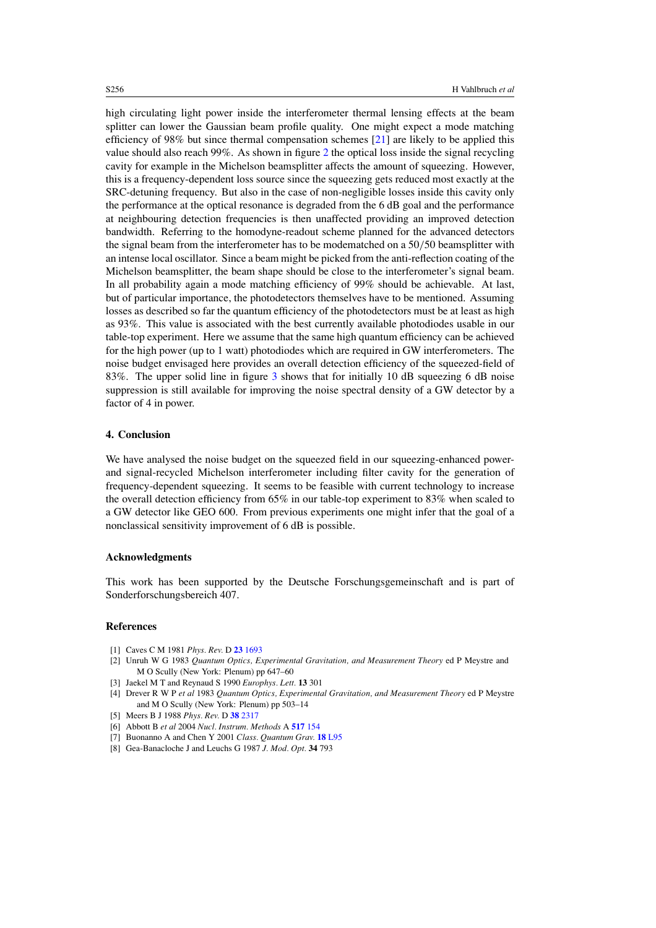high circulating light power inside the interferometer thermal lensing effects at the beam splitter can lower the Gaussian beam profile quality. One might expect a mode matching efficiency of 98% but since thermal compensation schemes [\[21](#page-6-0)] are likely to be applied this value should also reach 99%. As shown in figure [2](#page-3-0) the optical loss inside the signal recycling cavity for example in the Michelson beamsplitter affects the amount of squeezing. However, this is a frequency-dependent loss source since the squeezing gets reduced most exactly at the SRC-detuning frequency. But also in the case of non-negligible losses inside this cavity only the performance at the optical resonance is degraded from the 6 dB goal and the performance at neighbouring detection frequencies is then unaffected providing an improved detection bandwidth. Referring to the homodyne-readout scheme planned for the advanced detectors the signal beam from the interferometer has to be modematched on a 50*/*50 beamsplitter with an intense local oscillator. Since a beam might be picked from the anti-reflection coating of the Michelson beamsplitter, the beam shape should be close to the interferometer's signal beam. In all probability again a mode matching efficiency of 99% should be achievable. At last, but of particular importance, the photodetectors themselves have to be mentioned. Assuming losses as described so far the quantum efficiency of the photodetectors must be at least as high as 93%. This value is associated with the best currently available photodiodes usable in our table-top experiment. Here we assume that the same high quantum efficiency can be achieved for the high power (up to 1 watt) photodiodes which are required in GW interferometers. The noise budget envisaged here provides an overall detection efficiency of the squeezed-field of 83%. The upper solid line in figure [3](#page-4-0) shows that for initially 10 dB squeezing 6 dB noise suppression is still available for improving the noise spectral density of a GW detector by a factor of 4 in power.

### **4. Conclusion**

We have analysed the noise budget on the squeezed field in our squeezing-enhanced powerand signal-recycled Michelson interferometer including filter cavity for the generation of frequency-dependent squeezing. It seems to be feasible with current technology to increase the overall detection efficiency from 65% in our table-top experiment to 83% when scaled to a GW detector like GEO 600. From previous experiments one might infer that the goal of a nonclassical sensitivity improvement of 6 dB is possible.

#### **Acknowledgments**

This work has been supported by the Deutsche Forschungsgemeinschaft and is part of Sonderforschungsbereich 407.

#### **References**

- [1] Caves C M 1981 *Phys. Rev.* D **23** [1693](http://dx.doi.org/10.1103/PhysRevD.23.1693)
- [2] Unruh W G 1983 *Quantum Optics, Experimental Gravitation, and Measurement Theory* ed P Meystre and M O Scully (New York: Plenum) pp 647–60
- [3] Jaekel M T and Reynaud S 1990 *Europhys. Lett.* **13** 301
- [4] Drever R W P *et al* 1983 *Quantum Optics, Experimental Gravitation, and Measurement Theory* ed P Meystre and M O Scully (New York: Plenum) pp 503–14
- [5] Meers B J 1988 *Phys. Rev.* D **38** [2317](http://dx.doi.org/10.1103/PhysRevD.38.2317)
- [6] Abbott B *et al* 2004 *Nucl. Instrum. Methods* A **[517](http://dx.doi.org/10.1016/j.nima.2003.11.124)** 154
- [7] Buonanno A and Chen Y 2001 *Class. Quantum Grav.* **18** [L95](http://dx.doi.org/10.1088/0264-9381/18/15/102)
- [8] Gea-Banacloche J and Leuchs G 1987 *J. Mod. Opt.* **34** 793

<span id="page-5-0"></span>